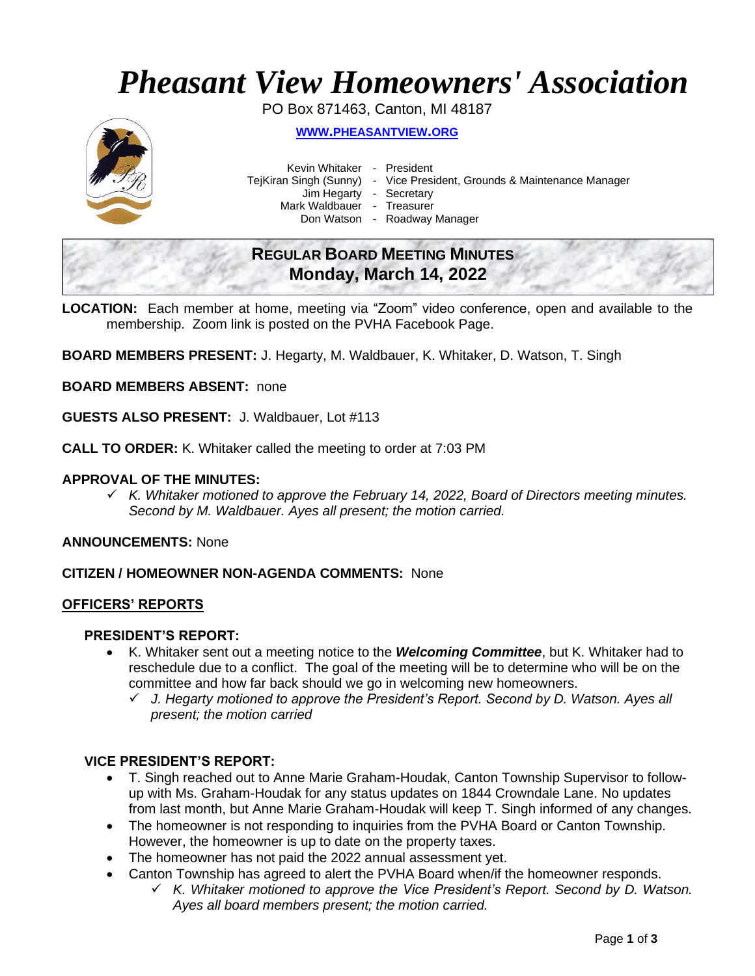# *Pheasant View Homeowners' Association*

PO Box 871463, Canton, MI 48187



**WWW.[PHEASANTVIEW](http://www.pheasantview.org/).ORG**

Kevin Whitaker - President

TejKiran Singh (Sunny) - Vice President, Grounds & Maintenance Manager

Jim Hegarty - Secretary

Mark Waldbauer - Treasurer

Don Watson - Roadway Manager

# **REGULAR BOARD MEETING MINUTES Monday, March 14, 2022**

**LOCATION:** Each member at home, meeting via "Zoom" video conference, open and available to the membership. Zoom link is posted on the PVHA Facebook Page.

**BOARD MEMBERS PRESENT:** J. Hegarty, M. Waldbauer, K. Whitaker, D. Watson, T. Singh

**BOARD MEMBERS ABSENT:** none

**GUESTS ALSO PRESENT:** J. Waldbauer, Lot #113

**CALL TO ORDER:** K. Whitaker called the meeting to order at 7:03 PM

#### **APPROVAL OF THE MINUTES:**

✓ *K. Whitaker motioned to approve the February 14, 2022, Board of Directors meeting minutes. Second by M. Waldbauer. Ayes all present; the motion carried.*

**ANNOUNCEMENTS:** None

#### **CITIZEN / HOMEOWNER NON-AGENDA COMMENTS:** None

#### **OFFICERS' REPORTS**

#### **PRESIDENT'S REPORT:**

- K. Whitaker sent out a meeting notice to the *Welcoming Committee*, but K. Whitaker had to reschedule due to a conflict. The goal of the meeting will be to determine who will be on the committee and how far back should we go in welcoming new homeowners.
	- ✓ *J. Hegarty motioned to approve the President's Report. Second by D. Watson. Ayes all present; the motion carried*

#### **VICE PRESIDENT'S REPORT:**

- T. Singh reached out to Anne Marie Graham-Houdak, Canton Township Supervisor to followup with Ms. Graham-Houdak for any status updates on 1844 Crowndale Lane. No updates from last month, but Anne Marie Graham-Houdak will keep T. Singh informed of any changes.
- The homeowner is not responding to inquiries from the PVHA Board or Canton Township. However, the homeowner is up to date on the property taxes.
- The homeowner has not paid the 2022 annual assessment yet.
	- Canton Township has agreed to alert the PVHA Board when/if the homeowner responds. ✓ *K. Whitaker motioned to approve the Vice President's Report. Second by D. Watson.*

*Ayes all board members present; the motion carried.*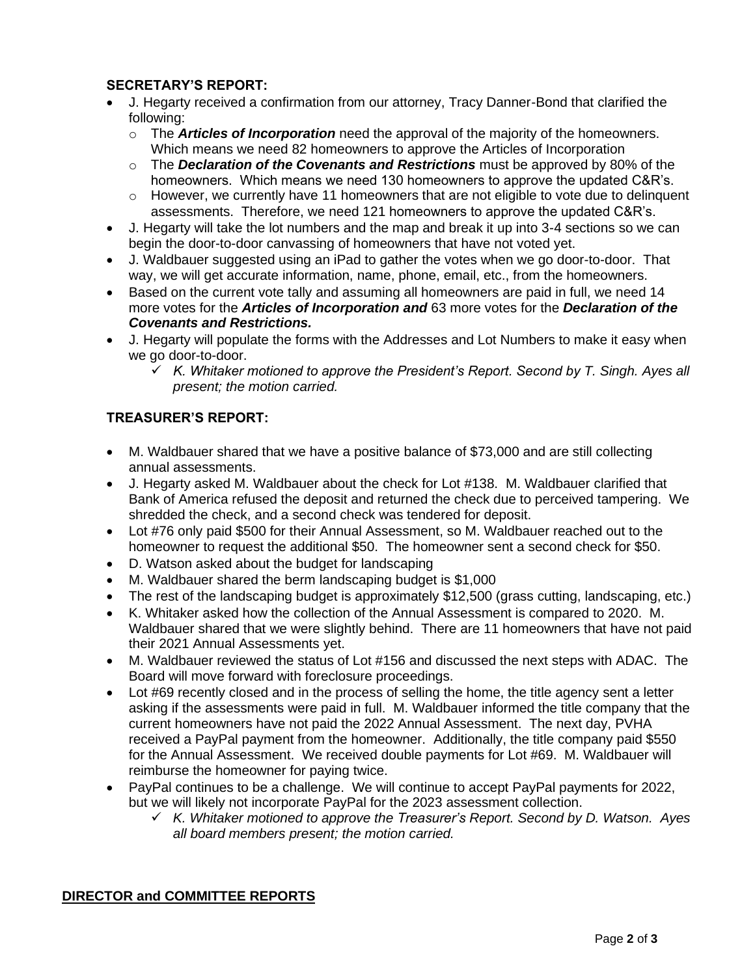## **SECRETARY'S REPORT:**

- J. Hegarty received a confirmation from our attorney, Tracy Danner-Bond that clarified the following:
	- o The *Articles of Incorporation* need the approval of the majority of the homeowners. Which means we need 82 homeowners to approve the Articles of Incorporation
	- o The *Declaration of the Covenants and Restrictions* must be approved by 80% of the homeowners. Which means we need 130 homeowners to approve the updated C&R's.
	- o However, we currently have 11 homeowners that are not eligible to vote due to delinquent assessments. Therefore, we need 121 homeowners to approve the updated C&R's.
- J. Hegarty will take the lot numbers and the map and break it up into 3-4 sections so we can begin the door-to-door canvassing of homeowners that have not voted yet.
- J. Waldbauer suggested using an iPad to gather the votes when we go door-to-door. That way, we will get accurate information, name, phone, email, etc., from the homeowners.
- Based on the current vote tally and assuming all homeowners are paid in full, we need 14 more votes for the *Articles of Incorporation and* 63 more votes for the *Declaration of the Covenants and Restrictions.*
- J. Hegarty will populate the forms with the Addresses and Lot Numbers to make it easy when we go door-to-door.
	- ✓ *K. Whitaker motioned to approve the President's Report. Second by T. Singh. Ayes all present; the motion carried.*

## **TREASURER'S REPORT:**

- M. Waldbauer shared that we have a positive balance of \$73,000 and are still collecting annual assessments.
- J. Hegarty asked M. Waldbauer about the check for Lot #138. M. Waldbauer clarified that Bank of America refused the deposit and returned the check due to perceived tampering. We shredded the check, and a second check was tendered for deposit.
- Lot #76 only paid \$500 for their Annual Assessment, so M. Waldbauer reached out to the homeowner to request the additional \$50. The homeowner sent a second check for \$50.
- D. Watson asked about the budget for landscaping
- M. Waldbauer shared the berm landscaping budget is \$1,000
- The rest of the landscaping budget is approximately \$12,500 (grass cutting, landscaping, etc.)
- K. Whitaker asked how the collection of the Annual Assessment is compared to 2020. M. Waldbauer shared that we were slightly behind. There are 11 homeowners that have not paid their 2021 Annual Assessments yet.
- M. Waldbauer reviewed the status of Lot #156 and discussed the next steps with ADAC. The Board will move forward with foreclosure proceedings.
- Lot #69 recently closed and in the process of selling the home, the title agency sent a letter asking if the assessments were paid in full. M. Waldbauer informed the title company that the current homeowners have not paid the 2022 Annual Assessment. The next day, PVHA received a PayPal payment from the homeowner. Additionally, the title company paid \$550 for the Annual Assessment. We received double payments for Lot #69. M. Waldbauer will reimburse the homeowner for paying twice.
- PayPal continues to be a challenge. We will continue to accept PayPal payments for 2022, but we will likely not incorporate PayPal for the 2023 assessment collection.
	- ✓ *K. Whitaker motioned to approve the Treasurer's Report. Second by D. Watson. Ayes all board members present; the motion carried.*

#### **DIRECTOR and COMMITTEE REPORTS**